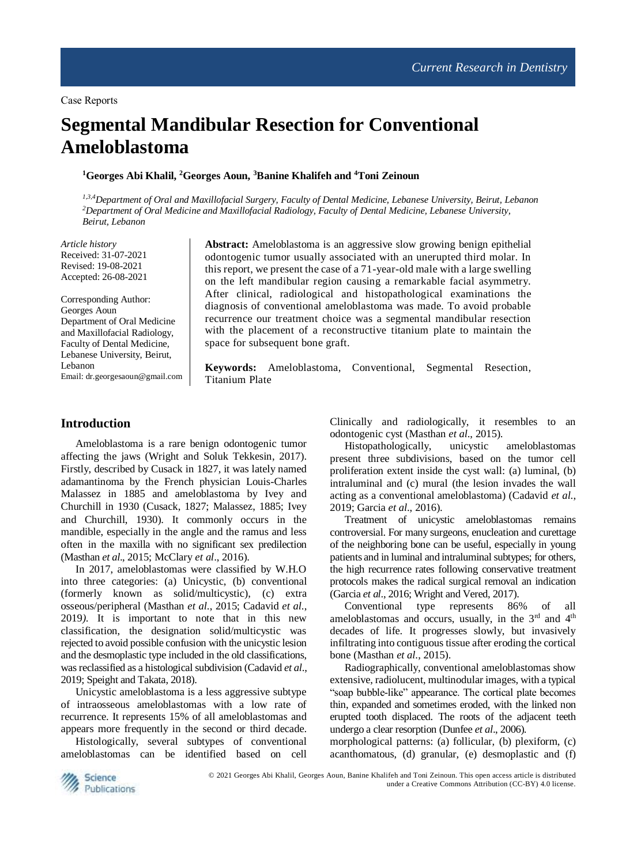# **Segmental Mandibular Resection for Conventional Ameloblastoma**

**<sup>1</sup>Georges Abi Khalil, <sup>2</sup>Georges Aoun, <sup>3</sup>Banine Khalifeh and <sup>4</sup>Toni Zeinoun** 

*1,3,4Department of Oral and Maxillofacial Surgery, Faculty of Dental Medicine, Lebanese University, Beirut, Lebanon <sup>2</sup>Department of Oral Medicine and Maxillofacial Radiology, Faculty of Dental Medicine, Lebanese University, Beirut, Lebanon*

*Article history* Received: 31-07-2021 Revised: 19-08-2021 Accepted: 26-08-2021

Corresponding Author: Georges Aoun Department of Oral Medicine and Maxillofacial Radiology, Faculty of Dental Medicine, Lebanese University, Beirut, Lebanon Email: dr.georgesaoun@gmail.com

**Abstract:** Ameloblastoma is an aggressive slow growing benign epithelial odontogenic tumor usually associated with an unerupted third molar. In this report, we present the case of a 71-year-old male with a large swelling on the left mandibular region causing a remarkable facial asymmetry. After clinical, radiological and histopathological examinations the diagnosis of conventional ameloblastoma was made. To avoid probable recurrence our treatment choice was a segmental mandibular resection with the placement of a reconstructive titanium plate to maintain the space for subsequent bone graft.

**Keywords:** Ameloblastoma, Conventional, Segmental Resection, Titanium Plate

### **Introduction**

Ameloblastoma is a rare benign odontogenic tumor affecting the jaws (Wright and Soluk Tekkesin, 2017). Firstly, described by Cusack in 1827, it was lately named adamantinoma by the French physician Louis-Charles Malassez in 1885 and ameloblastoma by Ivey and Churchill in 1930 (Cusack, 1827; Malassez, 1885; Ivey and Churchill, 1930). It commonly occurs in the mandible, especially in the angle and the ramus and less often in the maxilla with no significant sex predilection (Masthan *et al*., 2015; McClary *et al*., 2016).

In 2017, ameloblastomas were classified by W.H.O into three categories: (a) Unicystic, (b) conventional (formerly known as solid/multicystic), (c) extra osseous/peripheral (Masthan *et al*., 2015; Cadavid *et al*., 2019*)*. It is important to note that in this new classification, the designation solid/multicystic was rejected to avoid possible confusion with the unicystic lesion and the desmoplastic type included in the old classifications, was reclassified as a histological subdivision (Cadavid *et al*., 2019; Speight and Takata, 2018).

Unicystic ameloblastoma is a less aggressive subtype of intraosseous ameloblastomas with a low rate of recurrence. It represents 15% of all ameloblastomas and appears more frequently in the second or third decade.

Histologically, several subtypes of conventional ameloblastomas can be identified based on cell

Clinically and radiologically, it resembles to an odontogenic cyst (Masthan *et al*., 2015).

Histopathologically, unicystic ameloblastomas present three subdivisions, based on the tumor cell proliferation extent inside the cyst wall: (a) luminal, (b) intraluminal and (c) mural (the lesion invades the wall acting as a conventional ameloblastoma) (Cadavid *et al*., 2019; Garcia *et al*., 2016).

Treatment of unicystic ameloblastomas remains controversial. For many surgeons, enucleation and curettage of the neighboring bone can be useful, especially in young patients and in luminal and intraluminal subtypes; for others, the high recurrence rates following conservative treatment protocols makes the radical surgical removal an indication (Garcia *et al*., 2016; Wright and Vered, 2017).

Conventional type represents 86% of all ameloblastomas and occurs, usually, in the 3<sup>rd</sup> and 4<sup>th</sup> decades of life. It progresses slowly, but invasively infiltrating into contiguous tissue after eroding the cortical bone (Masthan *et al*., 2015).

Radiographically, conventional ameloblastomas show extensive, radiolucent, multinodular images, with a typical "soap bubble-like" appearance. The cortical plate becomes thin, expanded and sometimes eroded, with the linked non erupted tooth displaced. The roots of the adjacent teeth undergo a clear resorption (Dunfee *et al*., 2006).

morphological patterns: (a) follicular, (b) plexiform, (c) acanthomatous, (d) granular, (e) desmoplastic and (f)



© 2021 Georges Abi Khalil, Georges Aoun, Banine Khalifeh and Toni Zeinoun. This open access article is distributed under a Creative Commons Attribution (CC-BY) 4.0 license.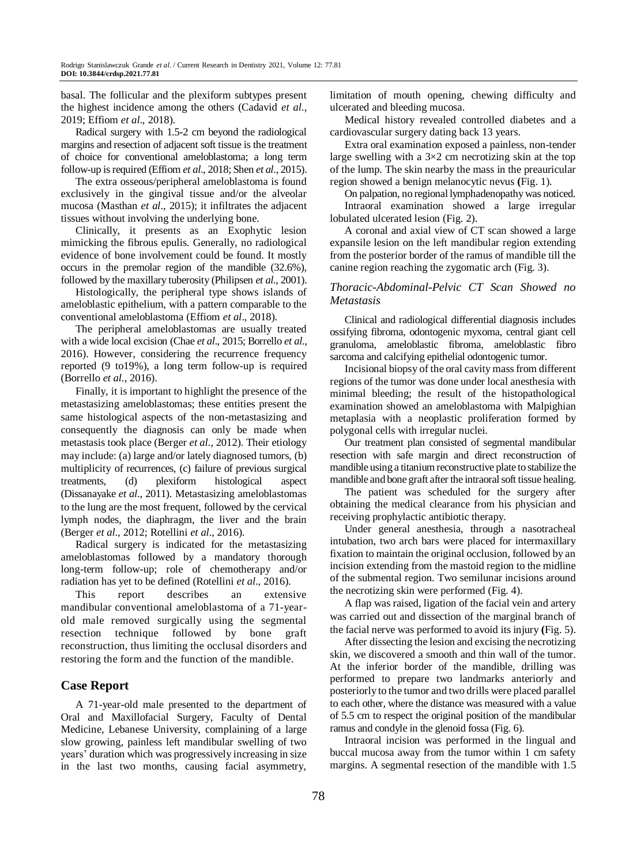basal. The follicular and the plexiform subtypes present the highest incidence among the others (Cadavid *et al*., 2019; Effiom *et al*., 2018).

Radical surgery with 1.5-2 cm beyond the radiological margins and resection of adjacent soft tissue is the treatment of choice for conventional ameloblastoma; a long term follow-up is required (Effiom *et al*., 2018; Shen *et al*., 2015).

The extra osseous/peripheral ameloblastoma is found exclusively in the gingival tissue and/or the alveolar mucosa (Masthan *et al*., 2015); it infiltrates the adjacent tissues without involving the underlying bone.

Clinically, it presents as an Exophytic lesion mimicking the fibrous epulis. Generally, no radiological evidence of bone involvement could be found. It mostly occurs in the premolar region of the mandible (32.6%), followed by the maxillary tuberosity (Philipsen *et al*., 2001).

Histologically, the peripheral type shows islands of ameloblastic epithelium, with a pattern comparable to the conventional ameloblastoma (Effiom *et al*., 2018).

The peripheral ameloblastomas are usually treated with a wide local excision (Chae *et al*., 2015; Borrello *et al*., 2016). However, considering the recurrence frequency reported (9 to19%), a long term follow-up is required (Borrello *et al*., 2016).

Finally, it is important to highlight the presence of the metastasizing ameloblastomas; these entities present the same histological aspects of the non-metastasizing and consequently the diagnosis can only be made when metastasis took place (Berger *et al*., 2012). Their etiology may include: (a) large and/or lately diagnosed tumors, (b) multiplicity of recurrences, (c) failure of previous surgical treatments, (d) plexiform histological aspect (Dissanayake *et al*., 2011). Metastasizing ameloblastomas to the lung are the most frequent, followed by the cervical lymph nodes, the diaphragm, the liver and the brain (Berger *et al*., 2012; Rotellini *et al*., 2016).

Radical surgery is indicated for the metastasizing ameloblastomas followed by a mandatory thorough long-term follow-up; role of chemotherapy and/or radiation has yet to be defined (Rotellini *et al*., 2016).

This report describes an extensive mandibular conventional [ameloblastoma](https://www.sciencedirect.com/topics/medicine-and-dentistry/ameloblastoma) of a 71-yearold male removed surgically using the segmental resection technique followed by bone graft reconstruction, thus limiting the occlusal disorders and restoring the form and the function of the mandible.

# **Case Report**

A 71-year-old male presented to the department of Oral and Maxillofacial Surgery, Faculty of Dental Medicine, Lebanese University, complaining of a large slow growing, painless left mandibular swelling of two years' duration which was progressively increasing in size in the last two months, causing facial asymmetry,

limitation of mouth opening, chewing difficulty and ulcerated and bleeding mucosa.

Medical history revealed controlled diabetes and a cardiovascular surgery dating back 13 years.

Extra oral examination exposed a painless, non-tender large swelling with a  $3\times 2$  cm necrotizing skin at the top of the lump. The skin nearby the mass in the preauricular region showed a benign melanocytic nevus **(**Fig. 1).

On palpation, no regional lymphadenopathy was noticed. Intraoral examination showed a large irregular lobulated ulcerated lesion (Fig. 2).

A coronal and axial view of CT scan showed a large expansile lesion on the left mandibular region extending from the posterior border of the ramus of mandible till the canine region reaching the zygomatic arch (Fig. 3).

## *Thoracic-Abdominal-Pelvic CT Scan Showed no Metastasis*

Clinical and radiological differential diagnosis includes ossifying fibroma, odontogenic myxoma, central giant cell granuloma, ameloblastic fibroma, ameloblastic fibro sarcoma and calcifying epithelial odontogenic tumor.

Incisional biopsy of the oral cavity mass from different regions of the tumor was done under local anesthesia with minimal bleeding; the result of the histopathological examination showed an ameloblastoma with Malpighian metaplasia with a neoplastic proliferation formed by polygonal cells with irregular nuclei.

Our treatment plan consisted of segmental mandibular resection with safe margin and direct reconstruction of mandible using a titanium reconstructive plate to stabilize the mandible and bone graft after the intraoral soft tissue healing.

The patient was scheduled for the surgery after obtaining the medical clearance from his physician and receiving prophylactic antibiotic therapy.

Under general anesthesia, through a nasotracheal intubation, two arch bars were placed for intermaxillary fixation to maintain the original occlusion, followed by an incision extending from the mastoid region to the midline of the submental region. Two semilunar incisions around the necrotizing skin were performed (Fig. 4).

A flap was raised, ligation of the facial vein and artery was carried out and dissection of the marginal branch of the facial nerve was performed to avoid its injury **(**Fig. 5).

After dissecting the lesion and excising the necrotizing skin, we discovered a smooth and thin wall of the tumor. At the inferior border of the mandible, drilling was performed to prepare two landmarks anteriorly and posteriorly to the tumor and two drills were placed parallel to each other, where the distance was measured with a value of 5.5 cm to respect the original position of the mandibular ramus and condyle in the glenoid fossa (Fig. 6).

Intraoral incision was performed in the lingual and buccal mucosa away from the tumor within 1 cm safety margins. A segmental resection of the mandible with 1.5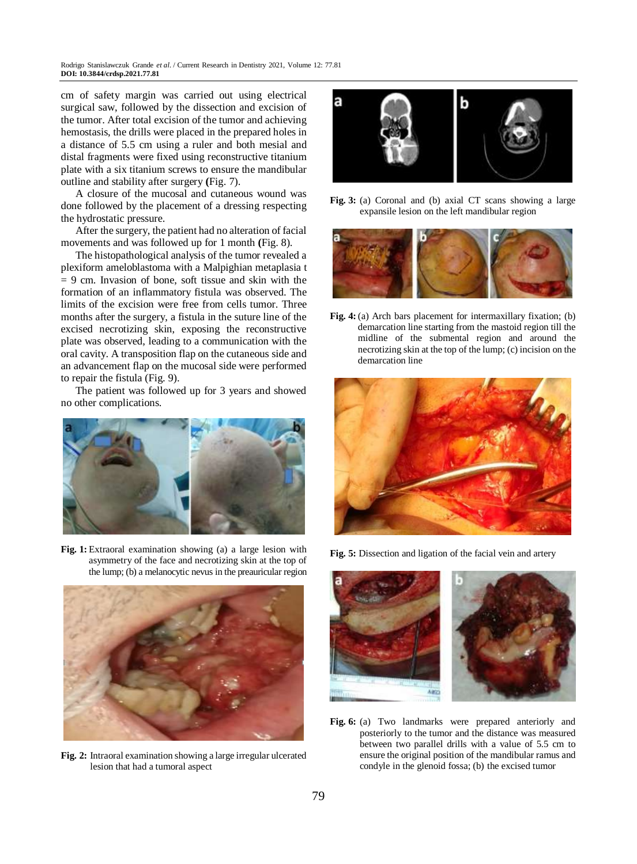cm of safety margin was carried out using electrical surgical saw, followed by the dissection and excision of the tumor. After total excision of the tumor and achieving hemostasis, the drills were placed in the prepared holes in a distance of 5.5 cm using a ruler and both mesial and distal fragments were fixed using reconstructive titanium plate with a six titanium screws to ensure the mandibular outline and stability after surgery **(**Fig. 7).

A closure of the mucosal and cutaneous wound was done followed by the placement of a dressing respecting the hydrostatic pressure.

After the surgery, the patient had no alteration of facial movements and was followed up for 1 month **(**Fig. 8).

The histopathological analysis of the tumor revealed a plexiform ameloblastoma with a Malpighian metaplasia t  $= 9$  cm. Invasion of bone, soft tissue and skin with the formation of an inflammatory fistula was observed. The limits of the excision were free from cells tumor. Three months after the surgery, a fistula in the suture line of the excised necrotizing skin, exposing the reconstructive plate was observed, leading to a communication with the oral cavity. A transposition flap on the cutaneous side and an advancement flap on the mucosal side were performed to repair the fistula (Fig. 9).

The patient was followed up for 3 years and showed no other complications.



**Fig. 1:** Extraoral examination showing (a) a large lesion with asymmetry of the face and necrotizing skin at the top of the lump; (b) a melanocytic nevus in the preauricular region



**Fig. 2:** Intraoral examination showing a large irregular ulcerated lesion that had a tumoral aspect



**Fig. 3:** (a) Coronal and (b) axial CT scans showing a large expansile lesion on the left mandibular region



**Fig. 4:** (a) Arch bars placement for intermaxillary fixation; (b) demarcation line starting from the mastoid region till the midline of the submental region and around the necrotizing skin at the top of the lump; (c) incision on the demarcation line



**Fig. 5:** Dissection and ligation of the facial vein and artery



**Fig. 6:** (a) Two landmarks were prepared anteriorly and posteriorly to the tumor and the distance was measured between two parallel drills with a value of 5.5 cm to ensure the original position of the mandibular ramus and condyle in the glenoid fossa; (b) the excised tumor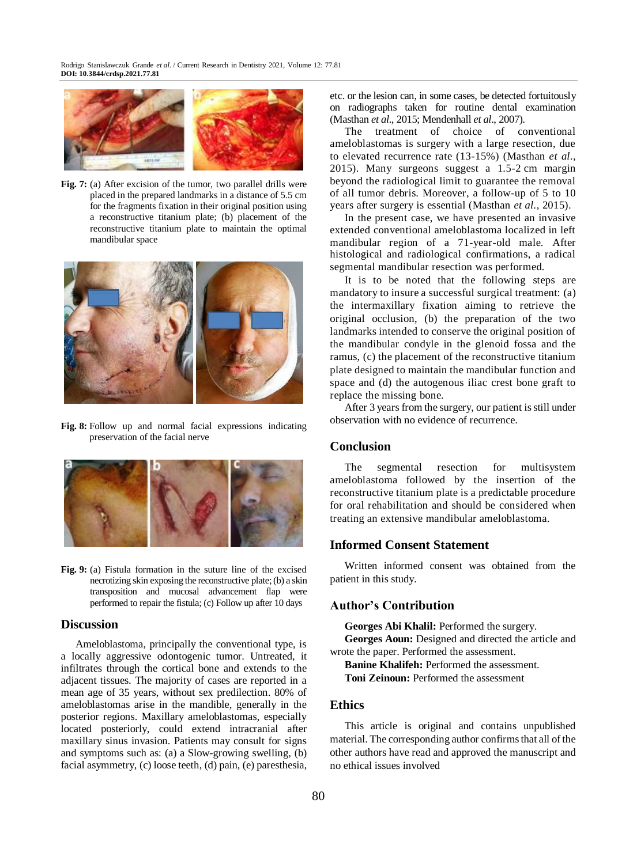

**Fig. 7:** (a) After excision of the tumor, two parallel drills were placed in the prepared landmarks in a distance of 5.5 cm for the fragments fixation in their original position using a reconstructive titanium plate; (b) placement of the reconstructive titanium plate to maintain the optimal mandibular space



**Fig. 8:** Follow up and normal facial expressions indicating preservation of the facial nerve



**Fig. 9:** (a) Fistula formation in the suture line of the excised necrotizing skin exposing the reconstructive plate; (b) a skin transposition and mucosal advancement flap were performed to repair the fistula; (c) Follow up after 10 days

#### **Discussion**

Ameloblastoma, principally the conventional type, is a locally aggressive odontogenic tumor. Untreated, it infiltrates through the cortical bone and extends to the adjacent tissues. The majority of cases are reported in a mean age of 35 years, without sex predilection. 80% of ameloblastomas arise in the mandible, generally in the posterior regions. Maxillary ameloblastomas, especially located posteriorly, could extend intracranial after maxillary sinus invasion. Patients may consult for signs and symptoms such as: (a) a Slow-growing swelling, (b) facial asymmetry, (c) loose teeth, (d) pain, (e) paresthesia,

etc. or the lesion can, in some cases, be detected fortuitously on radiographs taken for routine dental examination (Masthan *et al*., 2015; Mendenhall *et al*., 2007).

The treatment of choice of conventional ameloblastomas is surgery with a large resection, due to elevated recurrence rate (13-15%) (Masthan *et al*., 2015). Many surgeons suggest a 1.5-2 cm margin beyond the radiological limit to guarantee the removal of all tumor debris. Moreover, a follow-up of 5 to 10 years after surgery is essential (Masthan *et al*., 2015).

In the present case, we have presented an invasive extended conventional ameloblastoma localized in left mandibular region of a 71-year-old male. After histological and radiological confirmations, a radical segmental mandibular resection was performed.

It is to be noted that the following steps are mandatory to insure a successful surgical treatment: (a) the intermaxillary fixation aiming to retrieve the original occlusion, (b) the preparation of the two landmarks intended to conserve the original position of the mandibular condyle in the glenoid fossa and the ramus, (c) the placement of the reconstructive titanium plate designed to maintain the mandibular function and space and (d) the autogenous iliac crest bone graft to replace the missing bone.

After 3 years from the surgery, our patient is still under observation with no evidence of recurrence.

## **Conclusion**

The segmental resection for multisystem ameloblastoma followed by the insertion of the reconstructive titanium plate is a predictable procedure for oral rehabilitation and should be considered when treating an extensive mandibular ameloblastoma.

#### **Informed Consent Statement**

Written informed consent was obtained from the patient in this study.

#### **Author's Contribution**

**Georges Abi Khalil:** Performed the surgery.

**Georges Aoun:** Designed and directed the article and wrote the paper. Performed the assessment.

**Banine Khalifeh:** Performed the assessment. **Toni Zeinoun:** Performed the assessment

### **Ethics**

This article is original and contains unpublished material. The corresponding author confirms that all of the other authors have read and approved the manuscript and no ethical issues involved